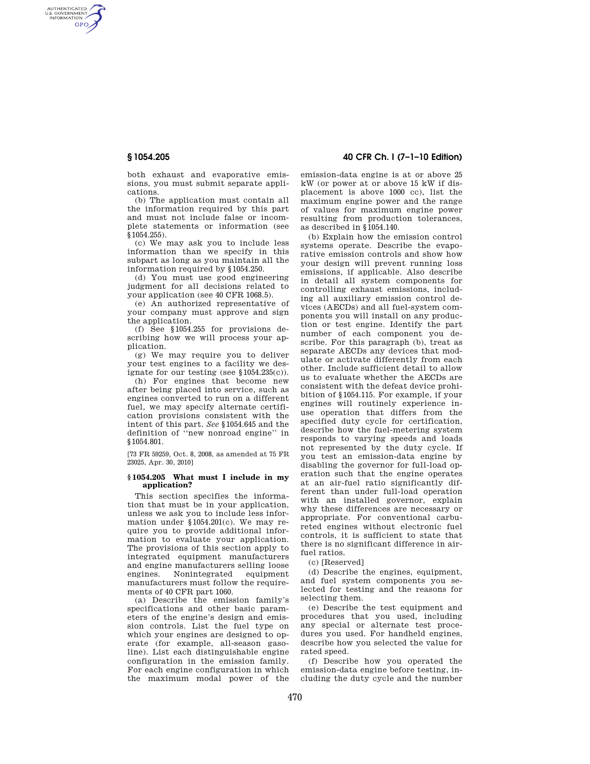AUTHENTICATED<br>U.S. GOVERNMENT<br>INFORMATION **GPO** 

> both exhaust and evaporative emissions, you must submit separate applications.

> (b) The application must contain all the information required by this part and must not include false or incomplete statements or information (see  $§1054.255$ ).

> (c) We may ask you to include less information than we specify in this subpart as long as you maintain all the information required by §1054.250.

> (d) You must use good engineering judgment for all decisions related to your application (see 40 CFR 1068.5).

> (e) An authorized representative of your company must approve and sign the application.

> (f) See §1054.255 for provisions describing how we will process your application.

> (g) We may require you to deliver your test engines to a facility we designate for our testing (see §1054.235(c)).

> (h) For engines that become new after being placed into service, such as engines converted to run on a different fuel, we may specify alternate certification provisions consistent with the intent of this part. *See* §1054.645 and the definition of ''new nonroad engine'' in §1054.801.

[73 FR 59259, Oct. 8, 2008, as amended at 75 FR 23025, Apr. 30, 2010]

## **§ 1054.205 What must I include in my application?**

This section specifies the information that must be in your application, unless we ask you to include less information under §1054.201(c). We may require you to provide additional information to evaluate your application. The provisions of this section apply to integrated equipment manufacturers and engine manufacturers selling loose engines. Nonintegrated equipment manufacturers must follow the requirements of 40 CFR part 1060.

(a) Describe the emission family's specifications and other basic parameters of the engine's design and emission controls. List the fuel type on which your engines are designed to operate (for example, all-season gasoline). List each distinguishable engine configuration in the emission family. For each engine configuration in which the maximum modal power of the

# **§ 1054.205 40 CFR Ch. I (7–1–10 Edition)**

emission-data engine is at or above 25 kW (or power at or above 15 kW if displacement is above 1000 cc), list the maximum engine power and the range of values for maximum engine power resulting from production tolerances, as described in §1054.140.

(b) Explain how the emission control systems operate. Describe the evaporative emission controls and show how your design will prevent running loss emissions, if applicable. Also describe in detail all system components for controlling exhaust emissions, including all auxiliary emission control devices (AECDs) and all fuel-system components you will install on any production or test engine. Identify the part number of each component you describe. For this paragraph (b), treat as separate AECDs any devices that modulate or activate differently from each other. Include sufficient detail to allow us to evaluate whether the AECDs are consistent with the defeat device prohibition of §1054.115. For example, if your engines will routinely experience inuse operation that differs from the specified duty cycle for certification, describe how the fuel-metering system responds to varying speeds and loads not represented by the duty cycle. If you test an emission-data engine by disabling the governor for full-load operation such that the engine operates at an air-fuel ratio significantly different than under full-load operation with an installed governor, explain why these differences are necessary or appropriate. For conventional carbureted engines without electronic fuel controls, it is sufficient to state that there is no significant difference in airfuel ratios.

(c) [Reserved]

(d) Describe the engines, equipment, and fuel system components you selected for testing and the reasons for selecting them.

(e) Describe the test equipment and procedures that you used, including any special or alternate test procedures you used. For handheld engines, describe how you selected the value for rated speed.

(f) Describe how you operated the emission-data engine before testing, including the duty cycle and the number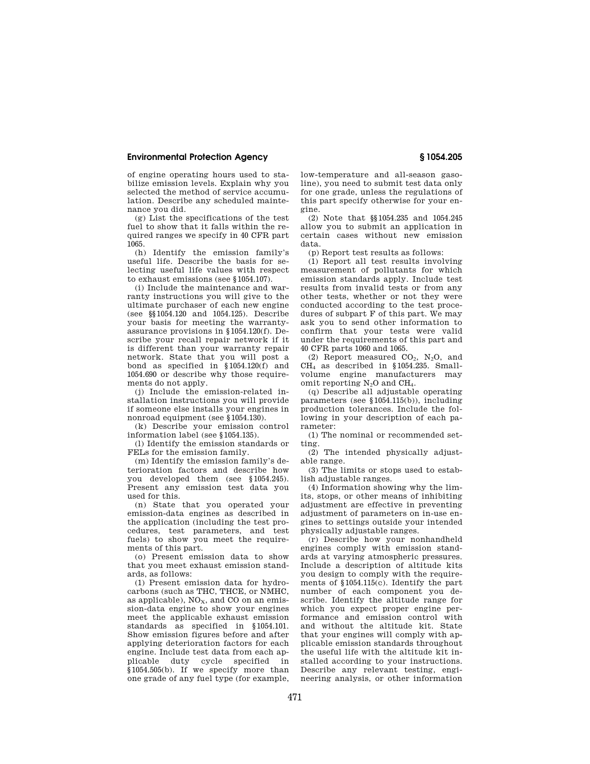# **Environmental Protection Agency § 1054.205**

of engine operating hours used to stabilize emission levels. Explain why you selected the method of service accumulation. Describe any scheduled maintenance you did.

(g) List the specifications of the test fuel to show that it falls within the required ranges we specify in 40 CFR part 1065.

(h) Identify the emission family's useful life. Describe the basis for selecting useful life values with respect to exhaust emissions (see §1054.107).

(i) Include the maintenance and warranty instructions you will give to the ultimate purchaser of each new engine (see §§1054.120 and 1054.125). Describe your basis for meeting the warrantyassurance provisions in §1054.120(f). Describe your recall repair network if it is different than your warranty repair network. State that you will post a bond as specified in §1054.120(f) and 1054.690 or describe why those requirements do not apply.

(j) Include the emission-related installation instructions you will provide if someone else installs your engines in nonroad equipment (see §1054.130).

(k) Describe your emission control information label (see §1054.135).

(l) Identify the emission standards or FELs for the emission family.

(m) Identify the emission family's deterioration factors and describe how you developed them (see §1054.245). Present any emission test data you used for this.

(n) State that you operated your emission-data engines as described in the application (including the test procedures, test parameters, and test fuels) to show you meet the requirements of this part.

(o) Present emission data to show that you meet exhaust emission standards, as follows:

(1) Present emission data for hydrocarbons (such as THC, THCE, or NMHC, as applicable),  $NO<sub>x</sub>$ , and CO on an emission-data engine to show your engines meet the applicable exhaust emission standards as specified in §1054.101. Show emission figures before and after applying deterioration factors for each engine. Include test data from each applicable duty cycle specified in  $§1054.505(b)$ . If we specify more than one grade of any fuel type (for example,

low-temperature and all-season gasoline), you need to submit test data only for one grade, unless the regulations of this part specify otherwise for your engine.

(2) Note that §§1054.235 and 1054.245 allow you to submit an application in certain cases without new emission data.

(p) Report test results as follows:

(1) Report all test results involving measurement of pollutants for which emission standards apply. Include test results from invalid tests or from any other tests, whether or not they were conducted according to the test procedures of subpart F of this part. We may ask you to send other information to confirm that your tests were valid under the requirements of this part and 40 CFR parts 1060 and 1065.

(2) Report measured  $CO<sub>2</sub>$ , N<sub>2</sub>O, and CH<sup>4</sup> as described in §1054.235. Smallvolume engine manufacturers may omit reporting  $N_2O$  and  $CH_4$ .

(q) Describe all adjustable operating parameters (see §1054.115(b)), including production tolerances. Include the following in your description of each parameter:

(1) The nominal or recommended setting.

(2) The intended physically adjustable range.

(3) The limits or stops used to establish adjustable ranges.

(4) Information showing why the limits, stops, or other means of inhibiting adjustment are effective in preventing adjustment of parameters on in-use engines to settings outside your intended physically adjustable ranges.

(r) Describe how your nonhandheld engines comply with emission standards at varying atmospheric pressures. Include a description of altitude kits you design to comply with the requirements of §1054.115(c). Identify the part number of each component you describe. Identify the altitude range for which you expect proper engine performance and emission control with and without the altitude kit. State that your engines will comply with applicable emission standards throughout the useful life with the altitude kit installed according to your instructions. Describe any relevant testing, engineering analysis, or other information